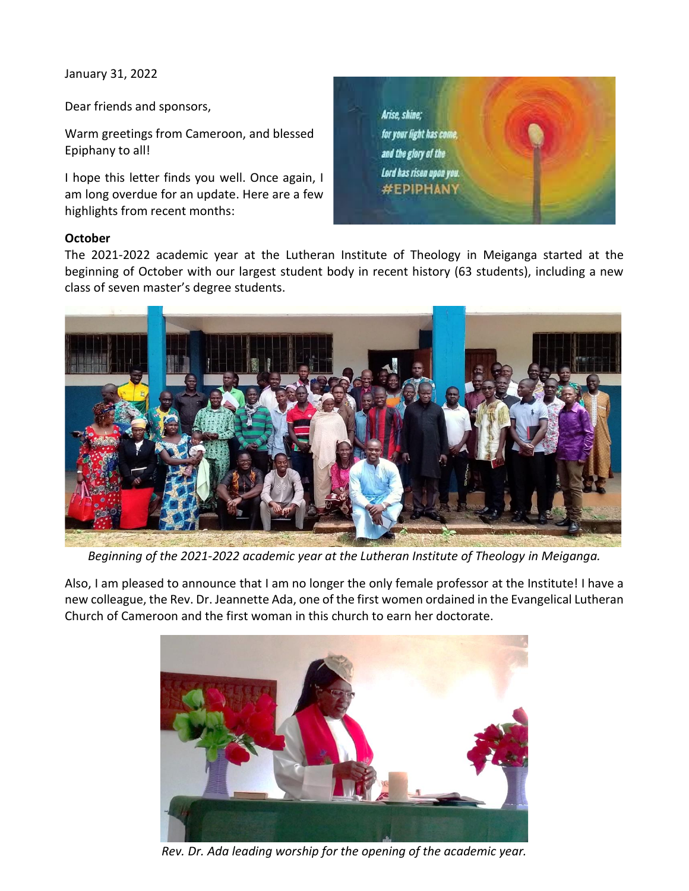January 31, 2022

Dear friends and sponsors,

Warm greetings from Cameroon, and blessed Epiphany to all!

I hope this letter finds you well. Once again, I am long overdue for an update. Here are a few highlights from recent months:



## **October**

The 2021-2022 academic year at the Lutheran Institute of Theology in Meiganga started at the beginning of October with our largest student body in recent history (63 students), including a new class of seven master's degree students.



*Beginning of the 2021-2022 academic year at the Lutheran Institute of Theology in Meiganga.*

Also, I am pleased to announce that I am no longer the only female professor at the Institute! I have a new colleague, the Rev. Dr. Jeannette Ada, one of the first women ordained in the Evangelical Lutheran Church of Cameroon and the first woman in this church to earn her doctorate.



*Rev. Dr. Ada leading worship for the opening of the academic year.*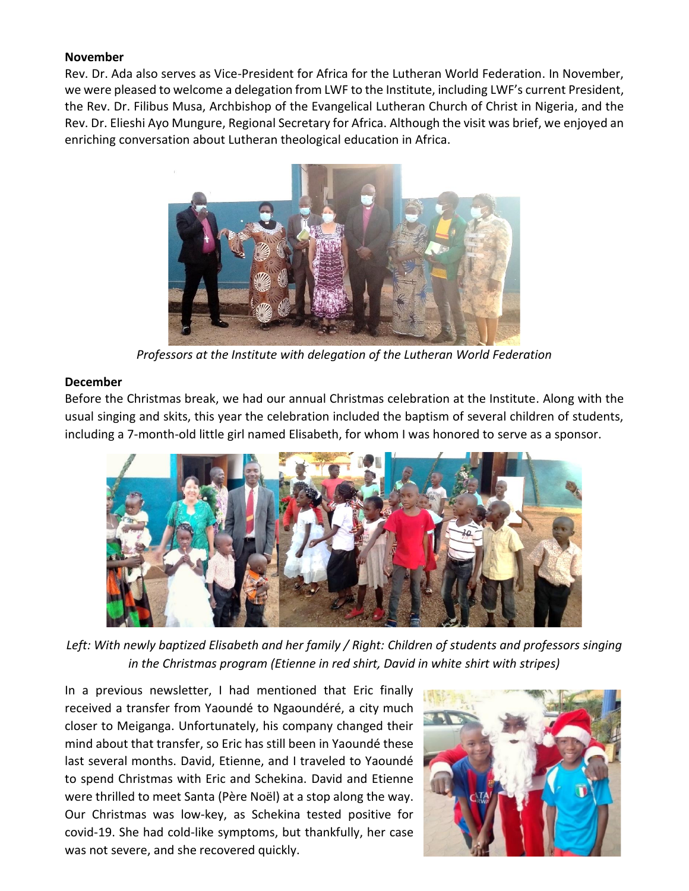### **November**

Rev. Dr. Ada also serves as Vice-President for Africa for the Lutheran World Federation. In November, we were pleased to welcome a delegation from LWF to the Institute, including LWF's current President, the Rev. Dr. Filibus Musa, Archbishop of the Evangelical Lutheran Church of Christ in Nigeria, and the Rev. Dr. Elieshi Ayo Mungure, Regional Secretary for Africa. Although the visit was brief, we enjoyed an enriching conversation about Lutheran theological education in Africa.



*Professors at the Institute with delegation of the Lutheran World Federation*

# **December**

Before the Christmas break, we had our annual Christmas celebration at the Institute. Along with the usual singing and skits, this year the celebration included the baptism of several children of students, including a 7-month-old little girl named Elisabeth, for whom I was honored to serve as a sponsor.



*Left: With newly baptized Elisabeth and her family / Right: Children of students and professors singing in the Christmas program (Etienne in red shirt, David in white shirt with stripes)*

In a previous newsletter, I had mentioned that Eric finally received a transfer from Yaoundé to Ngaoundéré, a city much closer to Meiganga. Unfortunately, his company changed their mind about that transfer, so Eric has still been in Yaoundé these last several months. David, Etienne, and I traveled to Yaoundé to spend Christmas with Eric and Schekina. David and Etienne were thrilled to meet Santa (Père Noël) at a stop along the way. Our Christmas was low-key, as Schekina tested positive for covid-19. She had cold-like symptoms, but thankfully, her case was not severe, and she recovered quickly.